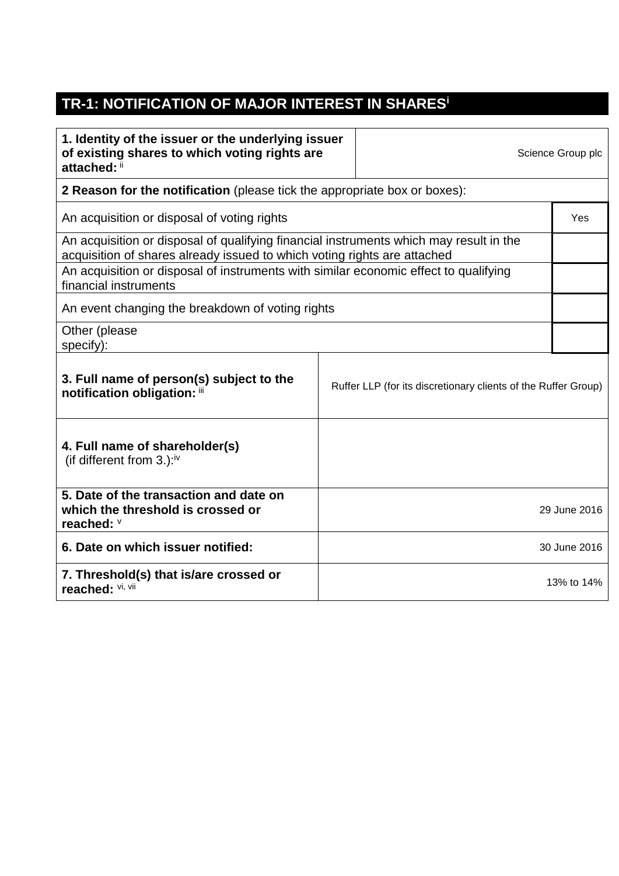## **TR-1: NOTIFICATION OF MAJOR INTEREST IN SHARES<sup>i</sup>**

| 1. Identity of the issuer or the underlying issuer<br>of existing shares to which voting rights are<br>attached: ii                                                                                                                                        | Science Group plc |  |              |
|------------------------------------------------------------------------------------------------------------------------------------------------------------------------------------------------------------------------------------------------------------|-------------------|--|--------------|
| <b>2 Reason for the notification</b> (please tick the appropriate box or boxes):                                                                                                                                                                           |                   |  |              |
| An acquisition or disposal of voting rights                                                                                                                                                                                                                |                   |  | Yes          |
| An acquisition or disposal of qualifying financial instruments which may result in the<br>acquisition of shares already issued to which voting rights are attached<br>An acquisition or disposal of instruments with similar economic effect to qualifying |                   |  |              |
| financial instruments                                                                                                                                                                                                                                      |                   |  |              |
| An event changing the breakdown of voting rights                                                                                                                                                                                                           |                   |  |              |
| Other (please<br>specify):                                                                                                                                                                                                                                 |                   |  |              |
| 3. Full name of person(s) subject to the<br>Ruffer LLP (for its discretionary clients of the Ruffer Group)<br>notification obligation: iii                                                                                                                 |                   |  |              |
| 4. Full name of shareholder(s)<br>(if different from $3.$ ): <sup>iv</sup>                                                                                                                                                                                 |                   |  |              |
| 5. Date of the transaction and date on<br>which the threshold is crossed or<br>reached: V                                                                                                                                                                  |                   |  | 29 June 2016 |
| 6. Date on which issuer notified:                                                                                                                                                                                                                          | 30 June 2016      |  |              |
| 7. Threshold(s) that is/are crossed or<br>reached: VI, VII                                                                                                                                                                                                 |                   |  | 13% to 14%   |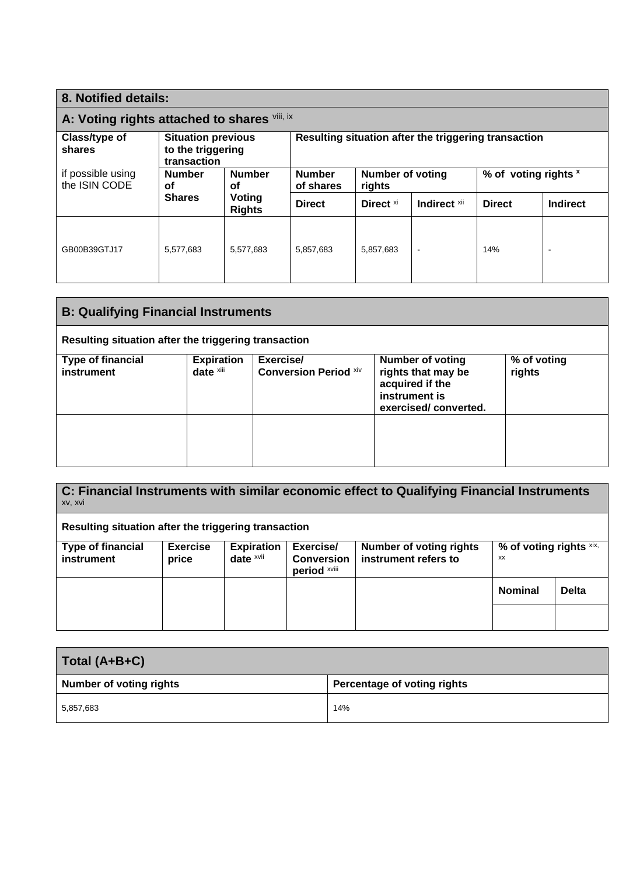| 8. Notified details:                                                       |                                                               |                     |                                                      |                                   |               |                      |  |
|----------------------------------------------------------------------------|---------------------------------------------------------------|---------------------|------------------------------------------------------|-----------------------------------|---------------|----------------------|--|
| A: Voting rights attached to shares Vill, IX                               |                                                               |                     |                                                      |                                   |               |                      |  |
| Class/type of<br>shares                                                    | <b>Situation previous</b><br>to the triggering<br>transaction |                     | Resulting situation after the triggering transaction |                                   |               |                      |  |
| if possible using<br><b>Number</b><br>the ISIN CODE<br>οf<br><b>Shares</b> |                                                               | <b>Number</b><br>οf | <b>Number</b><br>of shares                           | <b>Number of voting</b><br>rights |               | % of voting rights x |  |
|                                                                            | Voting<br><b>Rights</b>                                       | <b>Direct</b>       | Direct <sup>xi</sup>                                 | Indirect xii                      | <b>Direct</b> | <b>Indirect</b>      |  |
| GB00B39GTJ17                                                               | 5,577,683                                                     | 5,577,683           | 5,857,683                                            | 5,857,683                         | $\sim$        | 14%                  |  |

| <b>B: Qualifying Financial Instruments</b>           |                                |                                           |                                                                                                           |                       |  |
|------------------------------------------------------|--------------------------------|-------------------------------------------|-----------------------------------------------------------------------------------------------------------|-----------------------|--|
| Resulting situation after the triggering transaction |                                |                                           |                                                                                                           |                       |  |
| <b>Type of financial</b><br>instrument               | <b>Expiration</b><br>date xiii | Exercise/<br><b>Conversion Period Xiv</b> | <b>Number of voting</b><br>rights that may be<br>acquired if the<br>instrument is<br>exercised/converted. | % of voting<br>rights |  |
|                                                      |                                |                                           |                                                                                                           |                       |  |

| C: Financial Instruments with similar economic effect to Qualifying Financial Instruments<br>XV, XVI |                          |                                   |                                                |                                                        |                               |              |
|------------------------------------------------------------------------------------------------------|--------------------------|-----------------------------------|------------------------------------------------|--------------------------------------------------------|-------------------------------|--------------|
| Resulting situation after the triggering transaction                                                 |                          |                                   |                                                |                                                        |                               |              |
| Type of financial<br>instrument                                                                      | <b>Exercise</b><br>price | <b>Expiration</b><br>date $x$ vii | Exercise/<br><b>Conversion</b><br>period xviii | <b>Number of voting rights</b><br>instrument refers to | % of voting rights xix,<br>XX |              |
|                                                                                                      |                          |                                   |                                                |                                                        | <b>Nominal</b>                | <b>Delta</b> |
|                                                                                                      |                          |                                   |                                                |                                                        |                               |              |

| Total (A+B+C)                  |                             |  |  |
|--------------------------------|-----------------------------|--|--|
| <b>Number of voting rights</b> | Percentage of voting rights |  |  |
| 5,857,683                      | 14%                         |  |  |